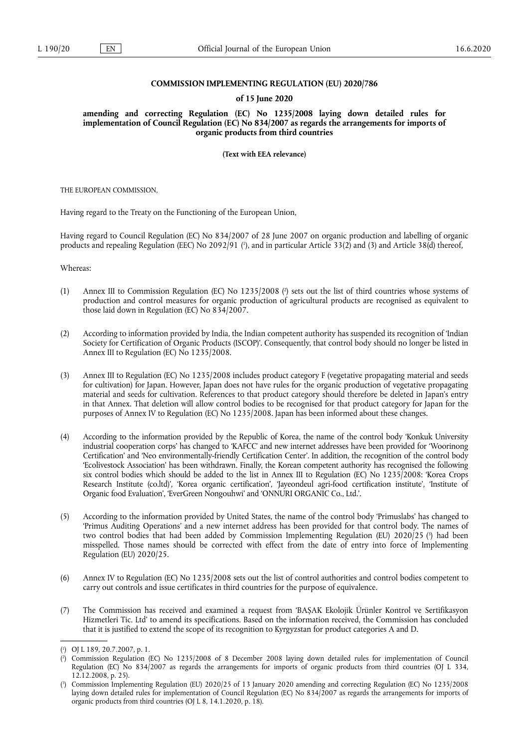### **COMMISSION IMPLEMENTING REGULATION (EU) 2020/786**

#### **of 15 June 2020**

**amending and correcting Regulation (EC) No 1235/2008 laying down detailed rules for implementation of Council Regulation (EC) No 834/2007 as regards the arrangements for imports of organic products from third countries** 

**(Text with EEA relevance)** 

THE EUROPEAN COMMISSION,

Having regard to the Treaty on the Functioning of the European Union,

<span id="page-0-3"></span>Having regard to Council Regulation (EC) No 834/2007 of 28 June 2007 on organic production and labelling of organic products and repealing Regulation (EEC) No 2092/91 ( 1 [\),](#page-0-0) and in particular Article 33(2) and (3) and Article 38(d) thereof,

Whereas:

- <span id="page-0-4"></span>(1) Annex III to Commission Regulation (EC) No 1235/2008 ( 2 [\)](#page-0-1) sets out the list of third countries whose systems of production and control measures for organic production of agricultural products are recognised as equivalent to those laid down in Regulation (EC) No 834/2007.
- (2) According to information provided by India, the Indian competent authority has suspended its recognition of 'Indian Society for Certification of Organic Products (ISCOP)'. Consequently, that control body should no longer be listed in Annex III to Regulation (EC) No 1235/2008.
- (3) Annex III to Regulation (EC) No 1235/2008 includes product category F (vegetative propagating material and seeds for cultivation) for Japan. However, Japan does not have rules for the organic production of vegetative propagating material and seeds for cultivation. References to that product category should therefore be deleted in Japan's entry in that Annex. That deletion will allow control bodies to be recognised for that product category for Japan for the purposes of Annex IV to Regulation (EC) No 1235/2008. Japan has been informed about these changes.
- (4) According to the information provided by the Republic of Korea, the name of the control body 'Konkuk University industrial cooperation corps' has changed to 'KAFCC' and new internet addresses have been provided for 'Woorinong Certification' and 'Neo environmentally-friendly Certification Center'. In addition, the recognition of the control body 'Ecolivestock Association' has been withdrawn. Finally, the Korean competent authority has recognised the following six control bodies which should be added to the list in Annex III to Regulation (EC) No 1235/2008: 'Korea Crops Research Institute (co.ltd)', 'Korea organic certification', 'Jayeondeul agri-food certification institute', 'Institute of Organic food Evaluation', 'EverGreen Nongouhwi' and 'ONNURI ORGANIC Co., Ltd.'.
- <span id="page-0-5"></span>(5) According to the information provided by United States, the name of the control body 'Primuslabs' has changed to 'Primus Auditing Operations' and a new internet address has been provided for that control body. The names of two control bodies that had been added by Commission Implementing Regulation (EU) 2020/25 [\(](#page-0-2) 3 ) had been misspelled. Those names should be corrected with effect from the date of entry into force of Implementing Regulation (EU) 2020/25.
- (6) Annex IV to Regulation (EC) No 1235/2008 sets out the list of control authorities and control bodies competent to carry out controls and issue certificates in third countries for the purpose of equivalence.
- (7) The Commission has received and examined a request from 'BAȘAK Ekolojik Ürünler Kontrol ve Sertifikasyon Hizmetleri Tic. Ltd' to amend its specifications. Based on the information received, the Commission has concluded that it is justified to extend the scope of its recognition to Kyrgyzstan for product categories A and D.

<span id="page-0-0"></span>[<sup>\(</sup>](#page-0-3) 1 ) OJ L 189, 20.7.2007, p. 1.

<span id="page-0-1"></span>[<sup>\(</sup>](#page-0-4) 2 ) Commission Regulation (EC) No 1235/2008 of 8 December 2008 laying down detailed rules for implementation of Council Regulation (EC) No 834/2007 as regards the arrangements for imports of organic products from third countries (OJ L 334, 12.12.2008, p. 25).

<span id="page-0-2"></span>[<sup>\(</sup>](#page-0-5) 3 ) Commission Implementing Regulation (EU) 2020/25 of 13 January 2020 amending and correcting Regulation (EC) No 1235/2008 laying down detailed rules for implementation of Council Regulation (EC) No 834/2007 as regards the arrangements for imports of organic products from third countries (OJ L 8, 14.1.2020, p. 18).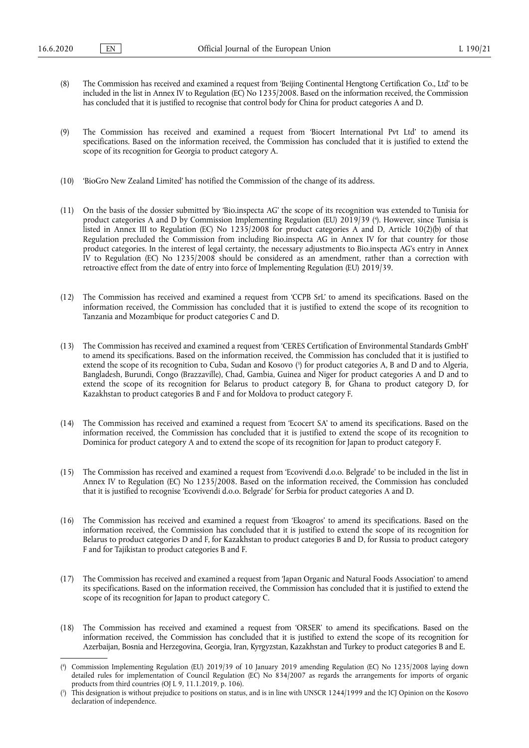- (8) The Commission has received and examined a request from 'Beijing Continental Hengtong Certification Co., Ltd' to be included in the list in Annex IV to Regulation (EC) No 1235/2008. Based on the information received, the Commission has concluded that it is justified to recognise that control body for China for product categories A and D.
- (9) The Commission has received and examined a request from 'Biocert International Pvt Ltd' to amend its specifications. Based on the information received, the Commission has concluded that it is justified to extend the scope of its recognition for Georgia to product category A.
- (10) 'BioGro New Zealand Limited' has notified the Commission of the change of its address.
- <span id="page-1-2"></span>(11) On the basis of the dossier submitted by 'Bio.inspecta AG' the scope of its recognition was extended to Tunisia for product categories A and D by Commission Implementing Regulation (EU) 2019/39 ( 4 [\).](#page-1-0) However, since Tunisia is listed in Annex III to Regulation (EC) No 1235/2008 for product categories A and D, Article 10(2)(b) of that Regulation precluded the Commission from including Bio.inspecta AG in Annex IV for that country for those product categories. In the interest of legal certainty, the necessary adjustments to Bio.inspecta AG's entry in Annex IV to Regulation (EC) No 1235/2008 should be considered as an amendment, rather than a correction with retroactive effect from the date of entry into force of Implementing Regulation (EU) 2019/39.
- (12) The Commission has received and examined a request from 'CCPB SrL' to amend its specifications. Based on the information received, the Commission has concluded that it is justified to extend the scope of its recognition to Tanzania and Mozambique for product categories C and D.
- <span id="page-1-3"></span>(13) The Commission has received and examined a request from 'CERES Certification of Environmental Standards GmbH' to amend its specifications. Based on the information received, the Commission has concluded that it is justified to extend the scope of its recognition to Cuba, Sudan and Kosovo [\(](#page-1-1) 5 ) for product categories A, B and D and to Algeria, Bangladesh, Burundi, Congo (Brazzaville), Chad, Gambia, Guinea and Niger for product categories A and D and to extend the scope of its recognition for Belarus to product category B, for Ghana to product category D, for Kazakhstan to product categories B and F and for Moldova to product category F.
- (14) The Commission has received and examined a request from 'Ecocert SA' to amend its specifications. Based on the information received, the Commission has concluded that it is justified to extend the scope of its recognition to Dominica for product category A and to extend the scope of its recognition for Japan to product category F.
- (15) The Commission has received and examined a request from 'Ecovivendi d.o.o. Belgrade' to be included in the list in Annex IV to Regulation (EC) No 1235/2008. Based on the information received, the Commission has concluded that it is justified to recognise 'Ecovivendi d.o.o. Belgrade' for Serbia for product categories A and D.
- (16) The Commission has received and examined a request from 'Ekoagros' to amend its specifications. Based on the information received, the Commission has concluded that it is justified to extend the scope of its recognition for Belarus to product categories D and F, for Kazakhstan to product categories B and D, for Russia to product category F and for Tajikistan to product categories B and F.
- (17) The Commission has received and examined a request from 'Japan Organic and Natural Foods Association' to amend its specifications. Based on the information received, the Commission has concluded that it is justified to extend the scope of its recognition for Japan to product category C.
- (18) The Commission has received and examined a request from 'ORSER' to amend its specifications. Based on the information received, the Commission has concluded that it is justified to extend the scope of its recognition for Azerbaijan, Bosnia and Herzegovina, Georgia, Iran, Kyrgyzstan, Kazakhstan and Turkey to product categories B and E.

<span id="page-1-0"></span>[<sup>\(</sup>](#page-1-2) 4 ) Commission Implementing Regulation (EU) 2019/39 of 10 January 2019 amending Regulation (EC) No 1235/2008 laying down detailed rules for implementation of Council Regulation (EC) No 834/2007 as regards the arrangements for imports of organic products from third countries (OJ L 9, 11.1.2019, p. 106).

<span id="page-1-1"></span>[<sup>\(</sup>](#page-1-3) 5 ) This designation is without prejudice to positions on status, and is in line with UNSCR 1244/1999 and the ICJ Opinion on the Kosovo declaration of independence.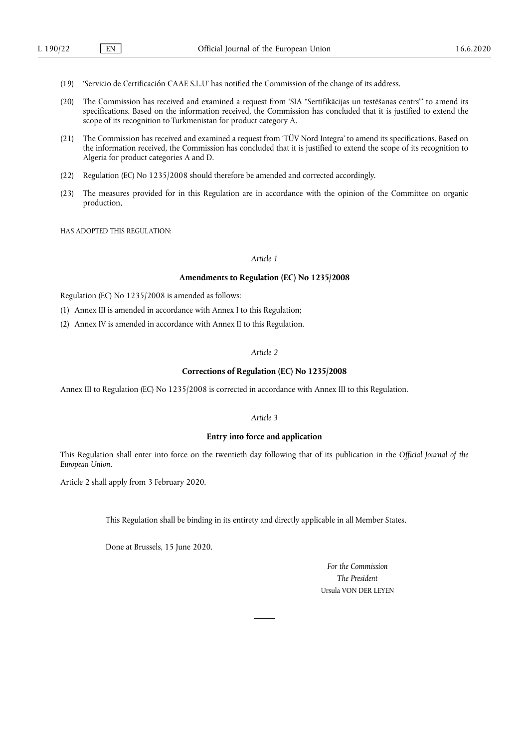- (19) 'Servicio de Certificación CAAE S.L.U' has notified the Commission of the change of its address.
- (20) The Commission has received and examined a request from 'SIA "Sertifikācijas un testēšanas centrs"' to amend its specifications. Based on the information received, the Commission has concluded that it is justified to extend the scope of its recognition to Turkmenistan for product category A.
- (21) The Commission has received and examined a request from 'TÜV Nord Integra' to amend its specifications. Based on the information received, the Commission has concluded that it is justified to extend the scope of its recognition to Algeria for product categories A and D.
- (22) Regulation (EC) No 1235/2008 should therefore be amended and corrected accordingly.
- (23) The measures provided for in this Regulation are in accordance with the opinion of the Committee on organic production,

HAS ADOPTED THIS REGULATION:

# *Article 1*

## **Amendments to Regulation (EC) No 1235/2008**

Regulation (EC) No 1235/2008 is amended as follows:

- (1) Annex III is amended in accordance with Annex I to this Regulation;
- (2) Annex IV is amended in accordance with Annex II to this Regulation.

#### *Article 2*

#### **Corrections of Regulation (EC) No 1235/2008**

Annex III to Regulation (EC) No 1235/2008 is corrected in accordance with Annex III to this Regulation.

#### *Article 3*

### **Entry into force and application**

This Regulation shall enter into force on the twentieth day following that of its publication in the *Official Journal of the European Union*.

Article 2 shall apply from 3 February 2020.

This Regulation shall be binding in its entirety and directly applicable in all Member States.

Done at Brussels, 15 June 2020.

*For the Commission The President*  Ursula VON DER LEYEN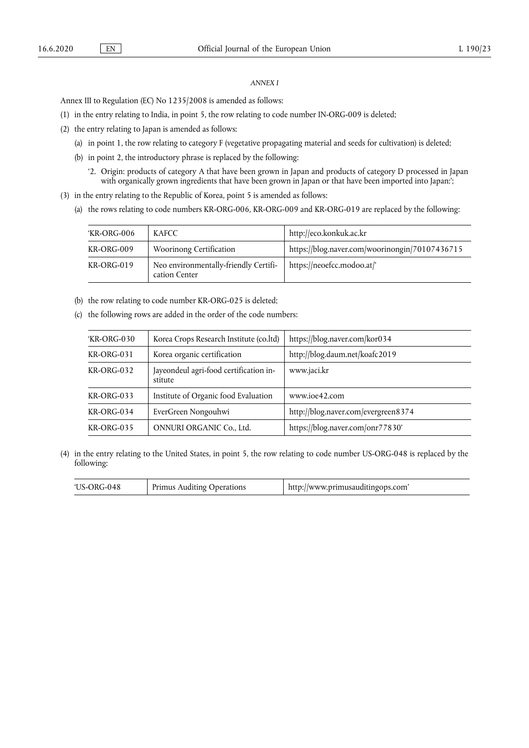### *ANNEX I*

Annex III to Regulation (EC) No 1235/2008 is amended as follows:

- (1) in the entry relating to India, in point 5, the row relating to code number IN-ORG-009 is deleted;
- (2) the entry relating to Japan is amended as follows:
	- (a) in point 1, the row relating to category F (vegetative propagating material and seeds for cultivation) is deleted;
	- (b) in point 2, the introductory phrase is replaced by the following:
		- '2. Origin: products of category A that have been grown in Japan and products of category D processed in Japan with organically grown ingredients that have been grown in Japan or that have been imported into Japan:';
- (3) in the entry relating to the Republic of Korea, point 5 is amended as follows:
	- (a) the rows relating to code numbers KR-ORG-006, KR-ORG-009 and KR-ORG-019 are replaced by the following:

| 'KR-ORG-006 | <b>KAFCC</b>                                           | http://eco.konkuk.ac.kr                        |
|-------------|--------------------------------------------------------|------------------------------------------------|
| KR-ORG-009  | Woorinong Certification                                | https://blog.naver.com/woorinongin/70107436715 |
| KR-ORG-019  | Neo environmentally-friendly Certifi-<br>cation Center | https://neoefcc.modoo.at/                      |

- (b) the row relating to code number KR-ORG-025 is deleted;
- (c) the following rows are added in the order of the code numbers:

| 'KR-ORG-030       | Korea Crops Research Institute (co.ltd)           | https://blog.naver.com/kor034       |
|-------------------|---------------------------------------------------|-------------------------------------|
| $KR-ORG-031$      | Korea organic certification                       | http://blog.daum.net/koafc2019      |
| $KR-ORG-032$      | Jayeondeul agri-food certification in-<br>stitute | www.jaci.kr                         |
| $KR-ORG-033$      | Institute of Organic food Evaluation              | www.joe42.com                       |
| KR-ORG-034        | EverGreen Nongouhwi                               | http://blog.naver.com/evergreen8374 |
| <b>KR-ORG-035</b> | ONNURI ORGANIC Co., Ltd.                          | https://blog.naver.com/onr77830'    |

(4) in the entry relating to the United States, in point 5, the row relating to code number US-ORG-048 is replaced by the following:

| $US-ORG-048$ | Primus Auditing Operations | http://www.primusauditingops.com' |
|--------------|----------------------------|-----------------------------------|
|--------------|----------------------------|-----------------------------------|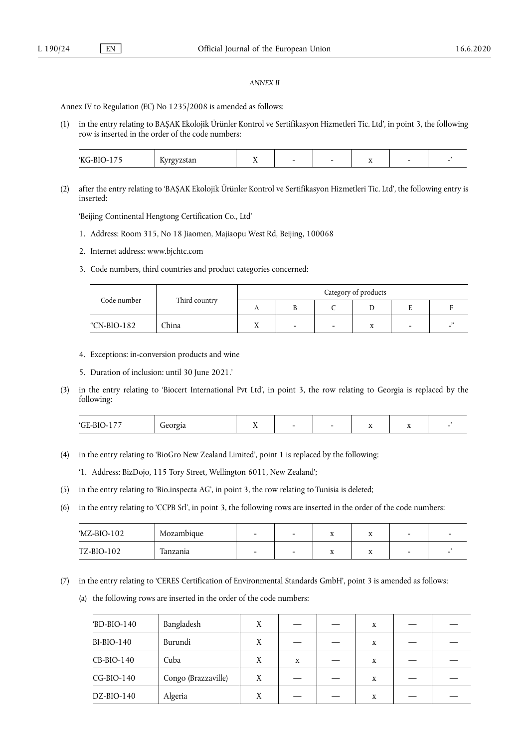#### *ANNEX II*

Annex IV to Regulation (EC) No 1235/2008 is amended as follows:

(1) in the entry relating to BAȘAK Ekolojik Ürünler Kontrol ve Sertifikasyon Hizmetleri Tic. Ltd', in point 3, the following row is inserted in the order of the code numbers:

| - -<br><b>CTT</b><br> | --<br>---<br>ีแนะ<br>$\overline{\mathbf{r}}$<br>້ | --<br>$\overline{\phantom{a}}$ | - |  | $\overline{1}$ | $\overline{\phantom{a}}$ |  |
|-----------------------|---------------------------------------------------|--------------------------------|---|--|----------------|--------------------------|--|
|-----------------------|---------------------------------------------------|--------------------------------|---|--|----------------|--------------------------|--|

(2) after the entry relating to 'BAȘAK Ekolojik Ürünler Kontrol ve Sertifikasyon Hizmetleri Tic. Ltd', the following entry is inserted:

'Beijing Continental Hengtong Certification Co., Ltd'

- 1. Address: Room 315, No 18 Jiaomen, Majiaopu West Rd, Beijing, 100068
- 2. Internet address: www.bjchtc.com
- 3. Code numbers, third countries and product categories concerned:

| Code number | Third country | Category of products |  |                          |   |   |  |  |
|-------------|---------------|----------------------|--|--------------------------|---|---|--|--|
|             |               | ∡ ⊾                  |  |                          |   |   |  |  |
| "CN-BIO-182 | China         |                      |  | $\overline{\phantom{0}}$ | X | - |  |  |

- 4. Exceptions: in-conversion products and wine
- 5. Duration of inclusion: until 30 June 2021.'
- (3) in the entry relating to 'Biocert International Pvt Ltd', in point 3, the row relating to Georgia is replaced by the following:

| $ -$<br>$\sqrt{2}$<br>0.000<br>$\sim$<br>ו ה-<br>лI<br>. .<br>: 1ч<br>л.<br>$\overline{\phantom{a}}$<br>$\overline{a}$<br>$\overline{\phantom{a}}$<br>- |  |
|---------------------------------------------------------------------------------------------------------------------------------------------------------|--|
|---------------------------------------------------------------------------------------------------------------------------------------------------------|--|

(4) in the entry relating to 'BioGro New Zealand Limited', point 1 is replaced by the following:

'1. Address: BizDojo, 115 Tory Street, Wellington 6011, New Zealand';

- (5) in the entry relating to 'Bio.inspecta AG', in point 3, the row relating to Tunisia is deleted;
- (6) in the entry relating to 'CCPB Srl', in point 3, the following rows are inserted in the order of the code numbers:

| MZ-BIO-102 | Mozambique | $\overline{\phantom{0}}$ | -43-      | <b>TP</b><br>л | - |  |
|------------|------------|--------------------------|-----------|----------------|---|--|
| TZ-BIO-102 | Tanzania   | -                        | $\Lambda$ | <b>xx</b><br>л |   |  |

- (7) in the entry relating to 'CERES Certification of Environmental Standards GmbH', point 3 is amended as follows:
	- (a) the following rows are inserted in the order of the code numbers:

| $'BD-BIO-140$ | Bangladesh          | X |   | X |  |
|---------------|---------------------|---|---|---|--|
| $BI-BIO-140$  | Burundi             | Χ |   | X |  |
| $CB-BIO-140$  | Cuba                | X | X | X |  |
| $CG-BIO-140$  | Congo (Brazzaville) | X |   | X |  |
| $DZ-BIO-140$  | Algeria             | X |   | X |  |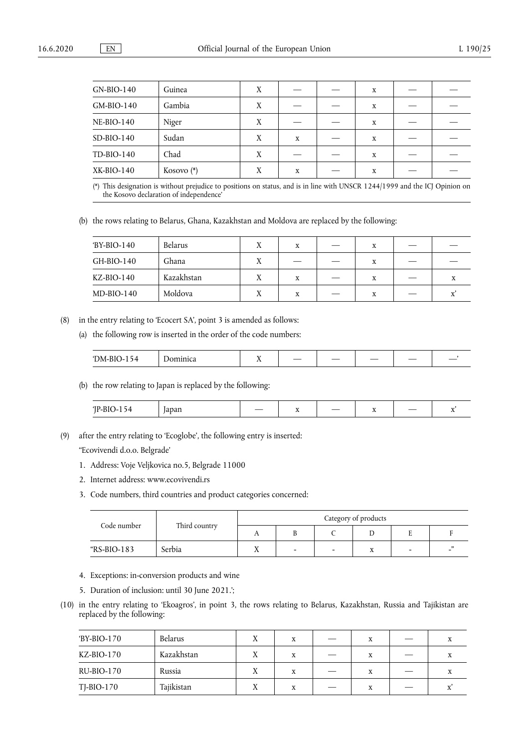| $GN-BIO-140$      | Guinea       | X |   | X |  |
|-------------------|--------------|---|---|---|--|
| $GM-BIO-140$      | Gambia       | X |   | X |  |
| <b>NE-BIO-140</b> | Niger        | X |   | X |  |
| $SD-BIO-140$      | Sudan        | X | X | X |  |
| TD-BIO-140        | Chad         | X |   | X |  |
| $XK-BIO-140$      | Kosovo $(*)$ | Χ | X | X |  |

<span id="page-5-1"></span><span id="page-5-0"></span>[\(\\*\)](#page-5-1) This designation is without prejudice to positions on status, and is in line with UNSCR 1244/1999 and the ICJ Opinion on the Kosovo declaration of independence'

(b) the rows relating to Belarus, Ghana, Kazakhstan and Moldova are replaced by the following:

| 'BY-BIO-140  | Belarus    |           | x | x |  |
|--------------|------------|-----------|---|---|--|
| GH-BIO-140   | Ghana      | $\lambda$ |   | x |  |
| $KZ-BIO-140$ | Kazakhstan |           | X | X |  |
| $MD-BIO-140$ | Moldova    |           | x | x |  |

(8) in the entry relating to 'Ecocert SA', point 3 is amended as follows:

(a) the following row is inserted in the order of the code numbers:

| 1 N /I<br>$\overline{\phantom{a}}$<br>___<br>___<br>. . |
|---------------------------------------------------------|
|---------------------------------------------------------|

(b) the row relating to Japan is replaced by the following:

| $  -$<br>. .<br>. | _ | -43 | - | ___<br>_ |  |
|-------------------|---|-----|---|----------|--|
|                   |   |     |   |          |  |

(9) after the entry relating to 'Ecoglobe', the following entry is inserted:

''Ecovivendi d.o.o. Belgrade'

- 1. Address: Voje Veljkovica no.5, Belgrade 11000
- 2. Internet address: www.ecovivendi.rs
- 3. Code numbers, third countries and product categories concerned:

| Code number | Third country | Category of products |                          |                          |   |   |     |  |
|-------------|---------------|----------------------|--------------------------|--------------------------|---|---|-----|--|
|             |               | ∡ ⊾                  |                          |                          |   |   |     |  |
| "RS-BIO-183 | Serbia        | ∡⊾                   | $\overline{\phantom{0}}$ | $\overline{\phantom{0}}$ | X | - | , , |  |

- 4. Exceptions: in-conversion products and wine
- 5. Duration of inclusion: until 30 June 2021.';
- (10) in the entry relating to 'Ekoagros', in point 3, the rows relating to Belarus, Kazakhstan, Russia and Tajikistan are replaced by the following:

| 'BY-BIO-170  | Belarus    | X | x | x |   |
|--------------|------------|---|---|---|---|
| $KZ-BIO-170$ | Kazakhstan | X | x | x | ▵ |
| $RU-BIO-170$ | Russia     | Χ | X | x | ▵ |
| $TI-BIO-170$ | Tajikistan | л | x | x |   |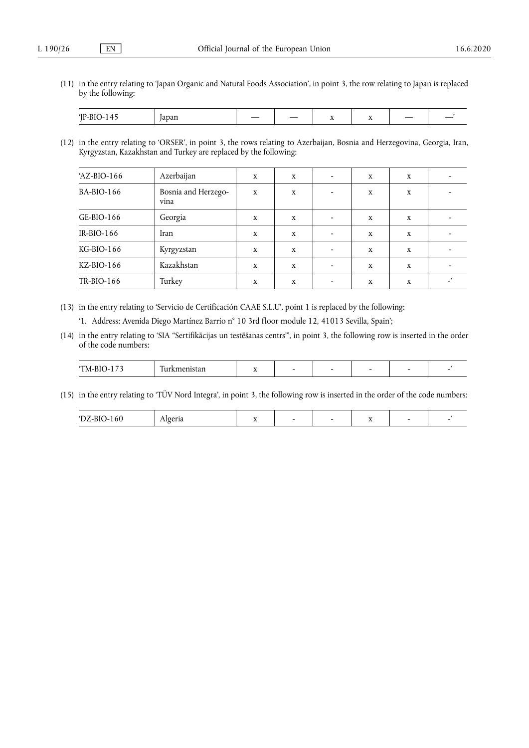(11) in the entry relating to 'Japan Organic and Natural Foods Association', in point 3, the row relating to Japan is replaced by the following:

| <b>TD</b><br>$  -$<br>iavall<br>. . | $\overline{\phantom{a}}$ | ___ | - | $\overline{\phantom{a}}$ | $\overline{\phantom{a}}$ |  |
|-------------------------------------|--------------------------|-----|---|--------------------------|--------------------------|--|
|-------------------------------------|--------------------------|-----|---|--------------------------|--------------------------|--|

(12) in the entry relating to 'ORSER', in point 3, the rows relating to Azerbaijan, Bosnia and Herzegovina, Georgia, Iran, Kyrgyzstan, Kazakhstan and Turkey are replaced by the following:

| $'AZ-BIO-166$ | Azerbaijan                  | X | X | X | X |  |
|---------------|-----------------------------|---|---|---|---|--|
| $BA-BIO-166$  | Bosnia and Herzego-<br>vina | X | X | X | X |  |
| $GE-BIO-166$  | Georgia                     | X | X | X | X |  |
| $IR-BIO-166$  | Iran                        | X | X | X | X |  |
| $KG-BIO-166$  | Kyrgyzstan                  | X | X | X | X |  |
| $KZ-BIO-166$  | Kazakhstan                  | X | X | X | X |  |
| $TR-BIO-166$  | Turkey                      | X | X | x | X |  |

(13) in the entry relating to 'Servicio de Certificación CAAE S.L.U', point 1 is replaced by the following:

'1. Address: Avenida Diego Martínez Barrio n° 10 3rd floor module 12, 41013 Sevilla, Spain';

(14) in the entry relating to 'SIA "Sertifikācijas un testēšanas centrs"', in point 3, the following row is inserted in the order of the code numbers:

|  | M<br><br>$\cdots$ | $\sim$<br>. . | $\overline{\phantom{a}}$ |  | - |  | - |  |
|--|-------------------|---------------|--------------------------|--|---|--|---|--|
|--|-------------------|---------------|--------------------------|--|---|--|---|--|

(15) in the entry relating to 'TÜV Nord Integra', in point 3, the following row is inserted in the order of the code numbers:

| . |  | . . |  |
|---|--|-----|--|
|   |  |     |  |